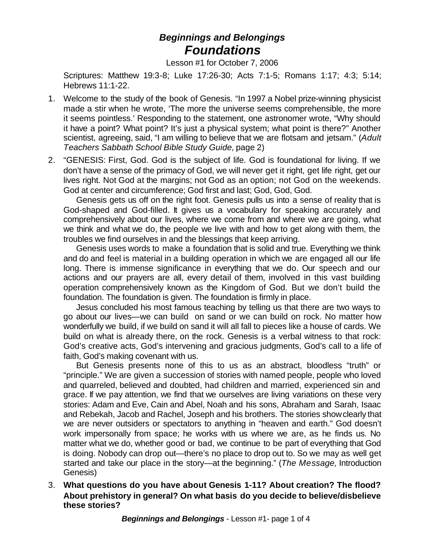## *Beginnings and Belongings Foundations*

Lesson #1 for October 7, 2006

Scriptures: Matthew 19:3-8; Luke 17:26-30; Acts 7:1-5; Romans 1:17; 4:3; 5:14; Hebrews 11:1-22.

- 1. Welcome to the study of the book of Genesis. "In 1997 a Nobel prize-winning physicist made a stir when he wrote, 'The more the universe seems comprehensible, the more it seems pointless.' Responding to the statement, one astronomer wrote, "Why should it have a point? What point? It's just a physical system; what point is there?" Another scientist, agreeing, said, "I am willing to believe that we are flotsam and jetsam." (*Adult Teachers Sabbath School Bible Study Guide,* page 2)
- 2. "GENESIS: First, God. God is the subject of life. God is foundational for living. If we don't have a sense of the primacy of God, we will never get it right, get life right, get our lives right. Not God at the margins; not God as an option; not God on the weekends. God at center and circumference; God first and last; God, God, God.

Genesis gets us off on the right foot. Genesis pulls us into a sense of reality that is God-shaped and God-filled. It gives us a vocabulary for speaking accurately and comprehensively about our lives, where we come from and where we are going, what we think and what we do, the people we live with and how to get along with them, the troubles we find ourselves in and the blessings that keep arriving.

Genesis uses words to make a foundation that is solid and true. Everything we think and do and feel is material in a building operation in which we are engaged all our life long. There is immense significance in everything that we do. Our speech and our actions and our prayers are all, every detail of them, involved in this vast building operation comprehensively known as the Kingdom of God. But we don't build the foundation. The foundation is given. The foundation is firmly in place.

Jesus concluded his most famous teaching by telling us that there are two ways to go about our lives—we can build on sand or we can build on rock. No matter how wonderfully we build, if we build on sand it will all fall to pieces like a house of cards. We build on what is already there, on the rock. Genesis is a verbal witness to that rock: God's creative acts, God's intervening and gracious judgments, God's call to a life of faith, God's making covenant with us.

But Genesis presents none of this to us as an abstract, bloodless "truth" or "principle." We are given a succession of stories with named people, people who loved and quarreled, believed and doubted, had children and married, experienced sin and grace. If we pay attention, we find that we ourselves are living variations on these very stories: Adam and Eve, Cain and Abel, Noah and his sons, Abraham and Sarah, Isaac and Rebekah, Jacob and Rachel, Joseph and his brothers. The stories showclearly that we are never outsiders or spectators to anything in "heaven and earth." God doesn't work impersonally from space; he works with us where we are, as he finds us. No matter what we do, whether good or bad, we continue to be part of everything that God is doing. Nobody can drop out—there's no place to drop out to. So we may as well get started and take our place in the story—at the beginning." (*The Message,* Introduction Genesis)

3. **What questions do you have about Genesis 1-11? About creation? The flood? About prehistory in general? On what basis do you decide to believe/disbelieve these stories?**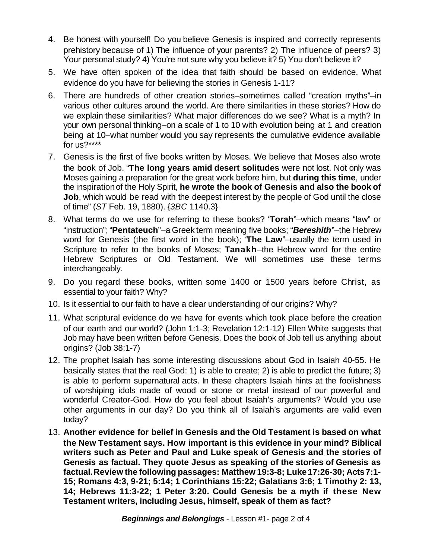- 4. Be honest with yourself! Do you believe Genesis is inspired and correctly represents prehistory because of 1) The influence of your parents? 2) The influence of peers? 3) Your personal study? 4) You're not sure why you believe it? 5) You don't believe it?
- 5. We have often spoken of the idea that faith should be based on evidence. What evidence do you have for believing the stories in Genesis 1-11?
- 6. There are hundreds of other creation stories–sometimes called "creation myths"–in various other cultures around the world. Are there similarities in these stories? How do we explain these similarities? What major differences do we see? What is a myth? In your own personal thinking–on a scale of 1 to 10 with evolution being at 1 and creation being at 10–what number would you say represents the cumulative evidence available for  $us?***$
- 7. Genesis is the first of five books written by Moses. We believe that Moses also wrote the book of Job. "**The long years amid desert solitudes** were not lost. Not only was Moses gaining a preparation for the great work before him, but **during this time**, under the inspirationof the Holy Spirit, **he wrote the book of Genesis and also the book of Job**, which would be read with the deepest interest by the people of God until the close of time" (*ST* Feb. 19, 1880). {*3BC* 1140.3}
- 8. What terms do we use for referring to these books? "**Torah**"–which means "law" or "instruction"; "**Pentateuch**"–a Greek term meaning five books; "*Bereshith*"–the Hebrew word for Genesis (the first word in the book); "**The Law**"–usually the term used in Scripture to refer to the books of Moses; **Tanakh**–the Hebrew word for the entire Hebrew Scriptures or Old Testament. We will sometimes use these terms interchangeably.
- 9. Do you regard these books, written some 1400 or 1500 years before Christ, as essential to your faith? Why?
- 10. Is it essential to our faith to have a clear understanding of our origins? Why?
- 11. What scriptural evidence do we have for events which took place before the creation of our earth and our world? (John 1:1-3; Revelation 12:1-12) Ellen White suggests that Job may have been written before Genesis. Does the book of Job tell us anything about origins? (Job 38:1-7)
- 12. The prophet Isaiah has some interesting discussions about God in Isaiah 40-55. He basically states that the real God: 1) is able to create; 2) is able to predict the future; 3) is able to perform supernatural acts. In these chapters Isaiah hints at the foolishness of worshiping idols made of wood or stone or metal instead of our powerful and wonderful Creator-God. How do you feel about Isaiah's arguments? Would you use other arguments in our day? Do you think all of Isaiah's arguments are valid even today?
- 13. **Another evidence for belief in Genesis and the Old Testament is based on what the New Testament says. How important is this evidence in your mind? Biblical writers such as Peter and Paul and Luke speak of Genesis and the stories of Genesis as factual. They quote Jesus as speaking of the stories of Genesis as factual.Review the following passages: Matthew 19:3-8; Luke17:26-30; Acts7:1- 15; Romans 4:3, 9-21; 5:14; 1 Corinthians 15:22; Galatians 3:6; 1 Timothy 2: 13, 14; Hebrews 11:3-22; 1 Peter 3:20. Could Genesis be a myth if these New Testament writers, including Jesus, himself, speak of them as fact?**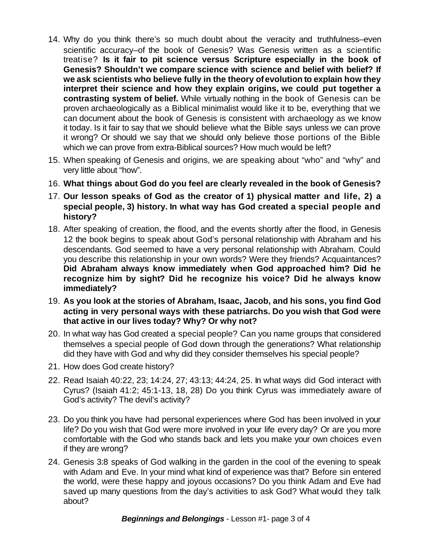- 14. Why do you think there's so much doubt about the veracity and truthfulness–even scientific accuracy–of the book of Genesis? Was Genesis written as a scientific treatise? **Is it fair to pit science versus Scripture especially in the book of Genesis? Shouldn't we compare science with science and belief with belief? If we ask scientists who believe fully in the theory ofevolution to explain how they interpret their science and how they explain origins, we could put together a contrasting system of belief.** While virtually nothing in the book of Genesis can be proven archaeologically as a Biblical minimalist would like it to be, everything that we can document about the book of Genesis is consistent with archaeology as we know it today. Is it fair to say that we should believe what the Bible says unless we can prove it wrong? Or should we say that we should only believe those portions of the Bible which we can prove from extra-Biblical sources? How much would be left?
- 15. When speaking of Genesis and origins, we are speaking about "who" and "why" and very little about "how".
- 16. **What things about God do you feel are clearly revealed in the book of Genesis?**
- 17. **Our lesson speaks of God as the creator of 1) physical matter and life, 2) a special people, 3) history. In what way has God created a special people and history?**
- 18. After speaking of creation, the flood, and the events shortly after the flood, in Genesis 12 the book begins to speak about God's personal relationship with Abraham and his descendants. God seemed to have a very personal relationship with Abraham. Could you describe this relationship in your own words? Were they friends? Acquaintances? **Did Abraham always know immediately when God approached him? Did he recognize him by sight? Did he recognize his voice? Did he always know immediately?**
- 19. **As you look at the stories of Abraham, Isaac, Jacob, and his sons, you find God acting in very personal ways with these patriarchs. Do you wish that God were that active in our lives today? Why? Or why not?**
- 20. In what way has God created a special people? Can you name groups that considered themselves a special people of God down through the generations? What relationship did they have with God and why did they consider themselves his special people?
- 21. How does God create history?
- 22. Read Isaiah 40:22, 23; 14:24, 27; 43:13; 44:24, 25. In what ways did God interact with Cyrus? (Isaiah 41:2; 45:1-13, 18, 28) Do you think Cyrus was immediately aware of God's activity? The devil's activity?
- 23. Do you think you have had personal experiences where God has been involved in your life? Do you wish that God were more involved in your life every day? Or are you more comfortable with the God who stands back and lets you make your own choices even if they are wrong?
- 24. Genesis 3:8 speaks of God walking in the garden in the cool of the evening to speak with Adam and Eve. In your mind what kind of experience was that? Before sin entered the world, were these happy and joyous occasions? Do you think Adam and Eve had saved up many questions from the day's activities to ask God? What would they talk about?